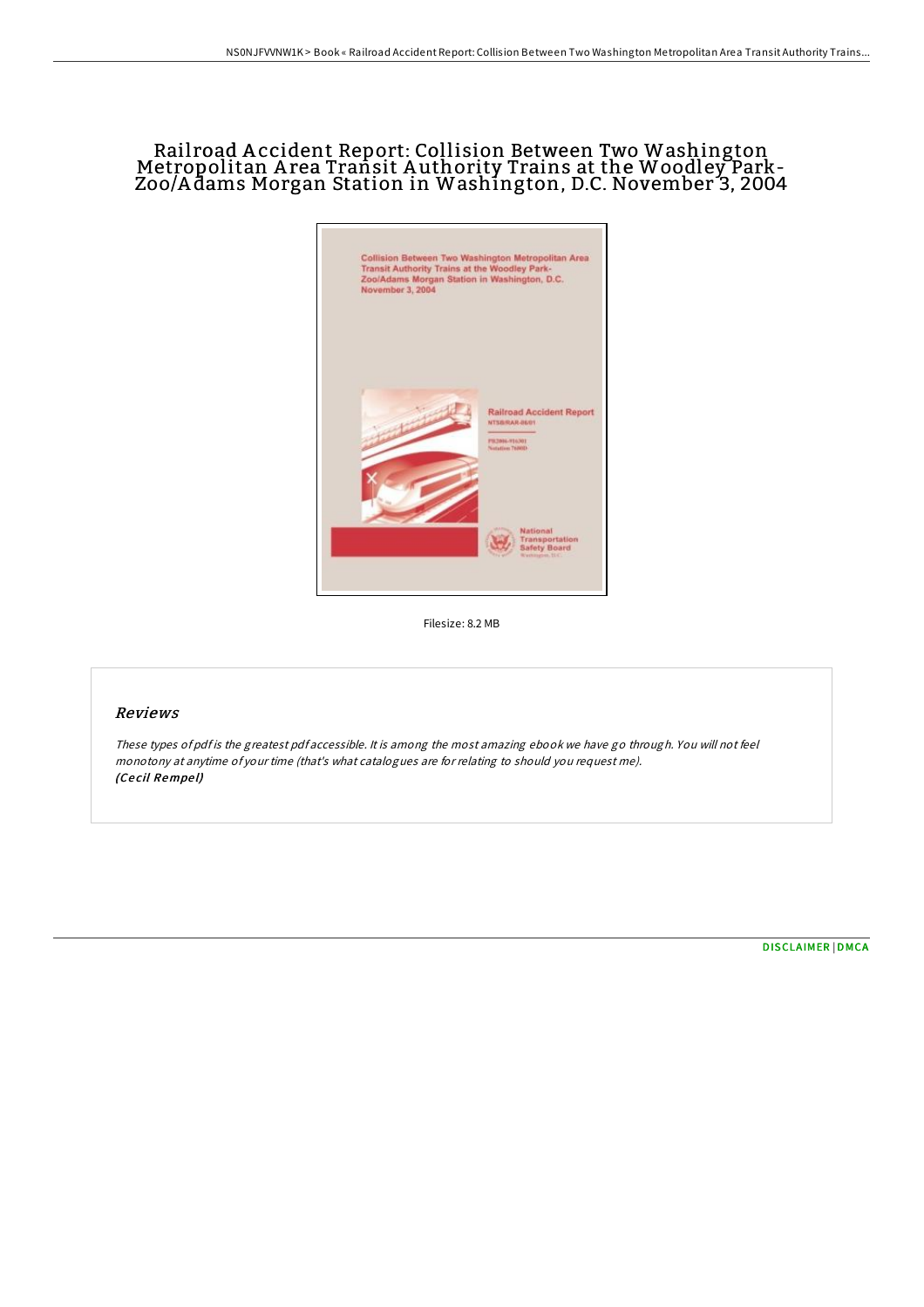# Rail road A ccident Report: Collision Between Two Washington Metropolitan A rea Transit A uthority Trains at the Woodley Park-Zoo/A dams Morgan Station in Washington, D.C. November 3, 2004



Filesize: 8.2 MB

## Reviews

These types of pdf is the greatest pdf accessible. It is among the most amazing ebook we have go through. You will not feel monotony at anytime of your time (that's what catalogues are for relating to should you request me). (Ce cil Rempe l)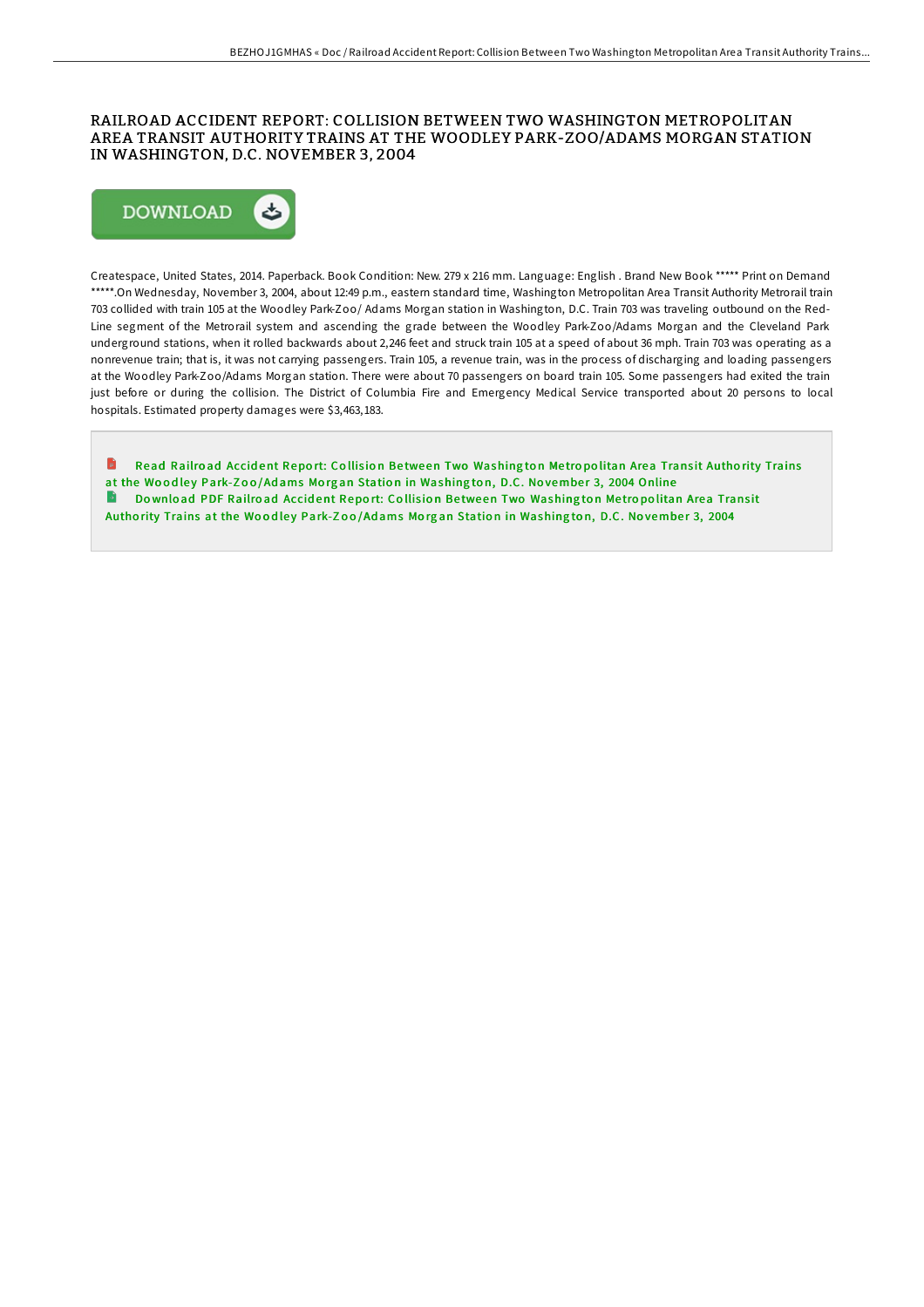### RAILROAD ACCIDENT REPORT: COLLISION BETWEEN TWO WASHINGTON METROPOLITAN AREA TRANSIT AUTHORITY TRAINS AT THE WOODLEY PARK-ZOO/ADAMS MORGAN STATION IN WASHINGTON, D.C. NOVEMBER 3, 2004



Createspace, United States, 2014. Paperback. Book Condition: New. 279 x 216 mm. Language: English . Brand New Book \*\*\*\*\* Print on Demand \*\*\*\*\*.On Wednesday, November 3, 2004, about 12:49 p.m., eastern standard time, Washington Metropolitan Area Transit Authority Metrorail train 703 collided with train 105 at the Woodley Park-Zoo/ Adams Morgan station in Washington, D.C. Train 703 was traveling outbound on the Red-Line segment of the Metrorail system and ascending the grade between the Woodley Park-Zoo/Adams Morgan and the Cleveland Park underground stations, when it rolled backwards about 2,246 feet and struck train 105 at a speed of about 36 mph. Train 703 was operating as a nonrevenue train; that is, it was not carrying passengers. Train 105, a revenue train, was in the process of discharging and loading passengers at the Woodley Park-Zoo/Adams Morgan station. There were about 70 passengers on board train 105. Some passengers had exited the train just before or during the collision. The District of Columbia Fire and Emergency Medical Service transported about 20 persons to local hospitals. Estimated property damages were \$3,463,183.

H Read Railroad Accident Report: Collision Between Two [Washing](http://almighty24.tech/railroad-accident-report-collision-between-two-w.html)ton Metropolitan Area Transit Authority Trains at the Woodley Park-Zoo/Adams Morgan Station in Washington, D.C. November 3, 2004 Online В Download PDF Railroad Accident Report: Collision Between Two [Washing](http://almighty24.tech/railroad-accident-report-collision-between-two-w.html)ton Metropolitan Area Transit Authority Trains at the Woodley Park-Zoo/Adams Morgan Station in Washington, D.C. November 3, 2004